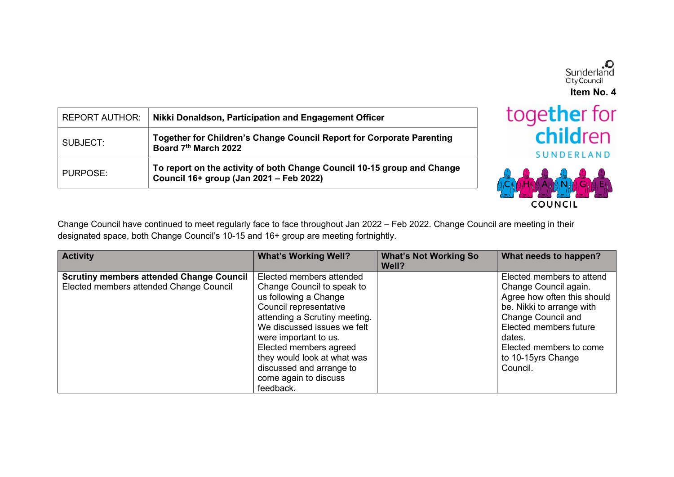

**COUNCIL** 

Change Council have continued to meet regularly face to face throughout Jan 2022 – Feb 2022. Change Council are meeting in their designated space, both Change Council's 10-15 and 16+ group are meeting fortnightly.

| <b>Activity</b>                                                                            | <b>What's Working Well?</b>                                                                                                                                                                                                                                                                                                   | <b>What's Not Working So</b><br>Well? | What needs to happen?                                                                                                                                                                                                                        |
|--------------------------------------------------------------------------------------------|-------------------------------------------------------------------------------------------------------------------------------------------------------------------------------------------------------------------------------------------------------------------------------------------------------------------------------|---------------------------------------|----------------------------------------------------------------------------------------------------------------------------------------------------------------------------------------------------------------------------------------------|
| <b>Scrutiny members attended Change Council</b><br>Elected members attended Change Council | Elected members attended<br>Change Council to speak to<br>us following a Change<br>Council representative<br>attending a Scrutiny meeting.<br>We discussed issues we felt<br>were important to us.<br>Elected members agreed<br>they would look at what was<br>discussed and arrange to<br>come again to discuss<br>feedback. |                                       | Elected members to attend<br>Change Council again.<br>Agree how often this should<br>be. Nikki to arrange with<br><b>Change Council and</b><br>Elected members future<br>dates.<br>Elected members to come<br>to 10-15yrs Change<br>Council. |